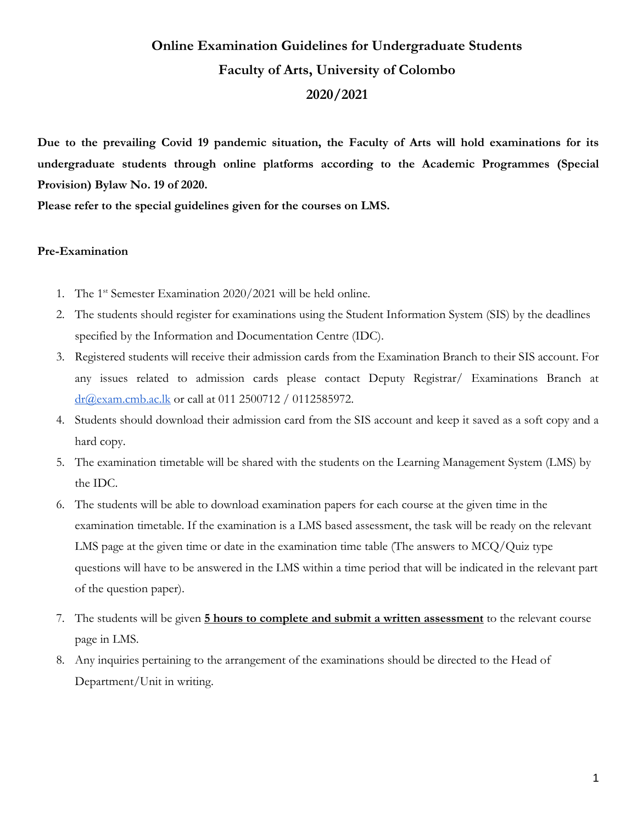# **Online Examination Guidelines for Undergraduate Students Faculty of Arts, University of Colombo 2020/2021**

**Due to the prevailing Covid 19 pandemic situation, the Faculty of Arts will hold examinations for its undergraduate students through online platforms according to the Academic Programmes (Special Provision) Bylaw No. 19 of 2020.**

**Please refer to the special guidelines given for the courses on LMS.**

#### **Pre-Examination**

- 1. The 1<sup>st</sup> Semester Examination 2020/2021 will be held online.
- 2. The students should register for examinations using the Student Information System (SIS) by the deadlines specified by the Information and Documentation Centre (IDC).
- 3. Registered students will receive their admission cards from the Examination Branch to their SIS account. For any issues related to admission cards please contact Deputy Registrar/ Examinations Branch at [dr@exam.cmb.ac.lk](mailto:dr@exam.cmb.ac.lk) or call at 011 2500712 / 0112585972.
- 4. Students should download their admission card from the SIS account and keep it saved as a soft copy and a hard copy.
- 5. The examination timetable will be shared with the students on the Learning Management System (LMS) by the IDC.
- 6. The students will be able to download examination papers for each course at the given time in the examination timetable. If the examination is a LMS based assessment, the task will be ready on the relevant LMS page at the given time or date in the examination time table (The answers to MCQ/Quiz type questions will have to be answered in the LMS within a time period that will be indicated in the relevant part of the question paper).
- 7. The students will be given **5 hours to complete and submit a written assessment** to the relevant course page in LMS.
- 8. Any inquiries pertaining to the arrangement of the examinations should be directed to the Head of Department/Unit in writing.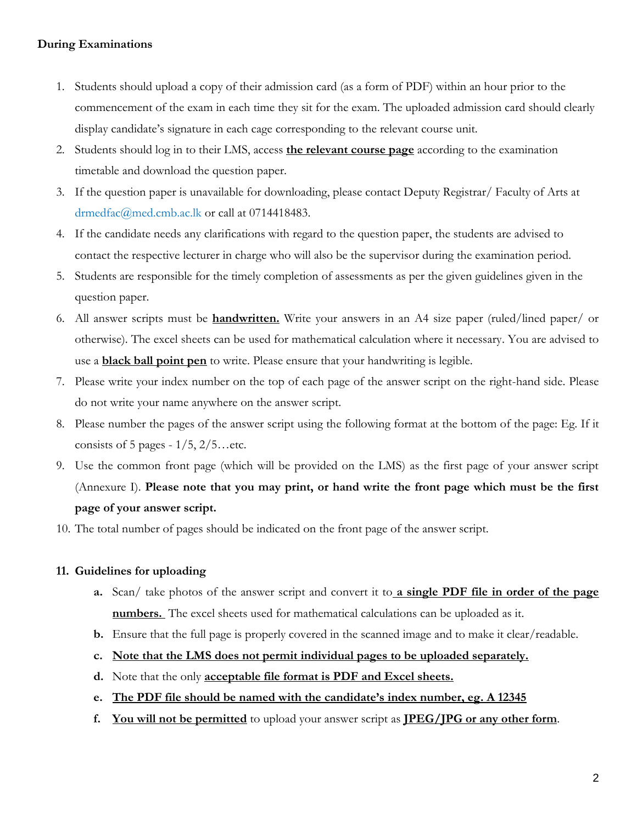#### **During Examinations**

- 1. Students should upload a copy of their admission card (as a form of PDF) within an hour prior to the commencement of the exam in each time they sit for the exam. The uploaded admission card should clearly display candidate's signature in each cage corresponding to the relevant course unit.
- 2. Students should log in to their LMS, access **the relevant course page** according to the examination timetable and download the question paper.
- 3. If the question paper is unavailable for downloading, please contact Deputy Registrar/ Faculty of Arts at drmedfac@med.cmb.ac.lk or call at 0714418483.
- 4. If the candidate needs any clarifications with regard to the question paper, the students are advised to contact the respective lecturer in charge who will also be the supervisor during the examination period.
- 5. Students are responsible for the timely completion of assessments as per the given guidelines given in the question paper.
- 6. All answer scripts must be **handwritten.** Write your answers in an A4 size paper (ruled/lined paper/ or otherwise). The excel sheets can be used for mathematical calculation where it necessary. You are advised to use a **black ball point pen** to write. Please ensure that your handwriting is legible.
- 7. Please write your index number on the top of each page of the answer script on the right-hand side. Please do not write your name anywhere on the answer script.
- 8. Please number the pages of the answer script using the following format at the bottom of the page: Eg. If it consists of 5 pages -  $1/5$ ,  $2/5$ ...etc.
- 9. Use the common front page (which will be provided on the LMS) as the first page of your answer script (Annexure I). **Please note that you may print, or hand write the front page which must be the first page of your answer script.**
- 10. The total number of pages should be indicated on the front page of the answer script.

#### **11. Guidelines for uploading**

- **a.** Scan/ take photos of the answer script and convert it to **a single PDF file in order of the page numbers.** The excel sheets used for mathematical calculations can be uploaded as it.
- **b.** Ensure that the full page is properly covered in the scanned image and to make it clear/readable.
- **c. Note that the LMS does not permit individual pages to be uploaded separately.**
- **d.** Note that the only **acceptable file format is PDF and Excel sheets.**
- **e. The PDF file should be named with the candidate's index number, eg. A 12345**
- **f. You will not be permitted** to upload your answer script as **JPEG/JPG or any other form**.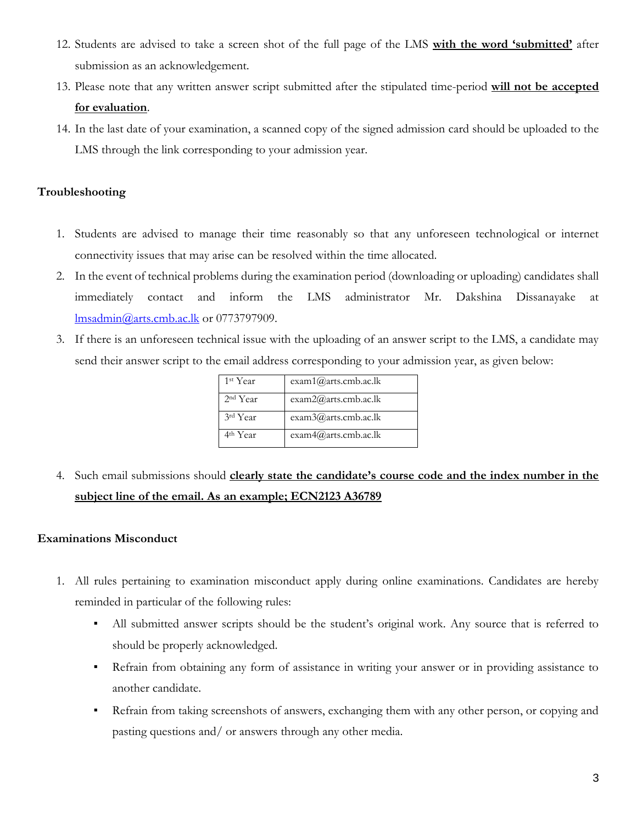- 12. Students are advised to take a screen shot of the full page of the LMS **with the word 'submitted'** after submission as an acknowledgement.
- 13. Please note that any written answer script submitted after the stipulated time-period **will not be accepted for evaluation**.
- 14. In the last date of your examination, a scanned copy of the signed admission card should be uploaded to the LMS through the link corresponding to your admission year.

## **Troubleshooting**

- 1. Students are advised to manage their time reasonably so that any unforeseen technological or internet connectivity issues that may arise can be resolved within the time allocated.
- 2. In the event of technical problems during the examination period (downloading or uploading) candidates shall immediately contact and inform the LMS administrator Mr. Dakshina Dissanayake at [lmsadmin@arts.cmb.ac.lk](mailto:lmsadmin@arts.cmb.ac.lk) or 0773797909.
- 3. If there is an unforeseen technical issue with the uploading of an answer script to the LMS, a candidate may send their answer script to the email address corresponding to your admission year, as given below:

| 1st Year             | exam1@arts.cmb.ac.lk |
|----------------------|----------------------|
| 2 <sup>nd</sup> Year | exam2@arts.cmb.ac.lk |
| 3rd Year             | exam3@arts.cmb.ac.lk |
| 4 <sup>th</sup> Year | exam4@arts.cmb.ac.lk |

4. Such email submissions should **clearly state the candidate's course code and the index number in the subject line of the email. As an example; ECN2123 A36789**

### **Examinations Misconduct**

- 1. All rules pertaining to examination misconduct apply during online examinations. Candidates are hereby reminded in particular of the following rules:
	- All submitted answer scripts should be the student's original work. Any source that is referred to should be properly acknowledged.
	- Refrain from obtaining any form of assistance in writing your answer or in providing assistance to another candidate.
	- Refrain from taking screenshots of answers, exchanging them with any other person, or copying and pasting questions and/ or answers through any other media.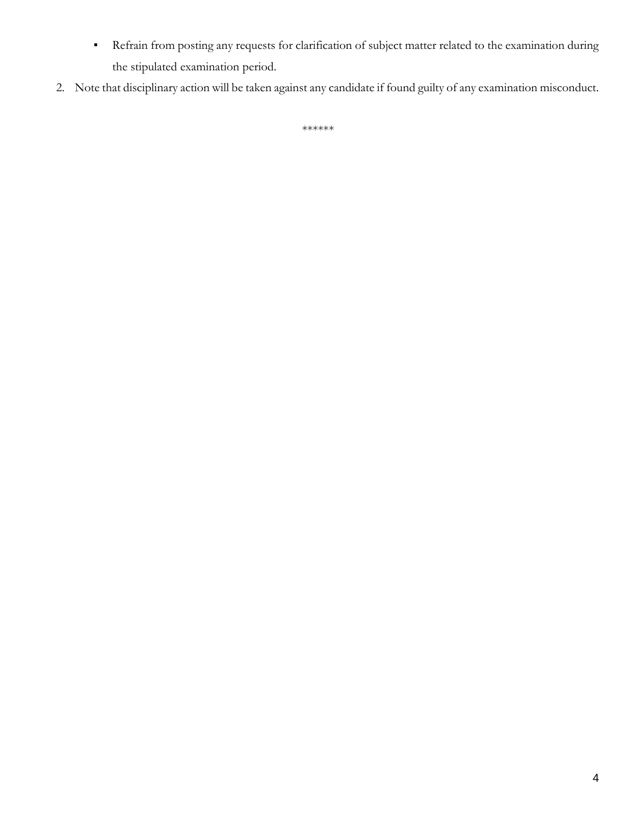- Refrain from posting any requests for clarification of subject matter related to the examination during the stipulated examination period.
- 2. Note that disciplinary action will be taken against any candidate if found guilty of any examination misconduct.

\*\*\*\*\*\*